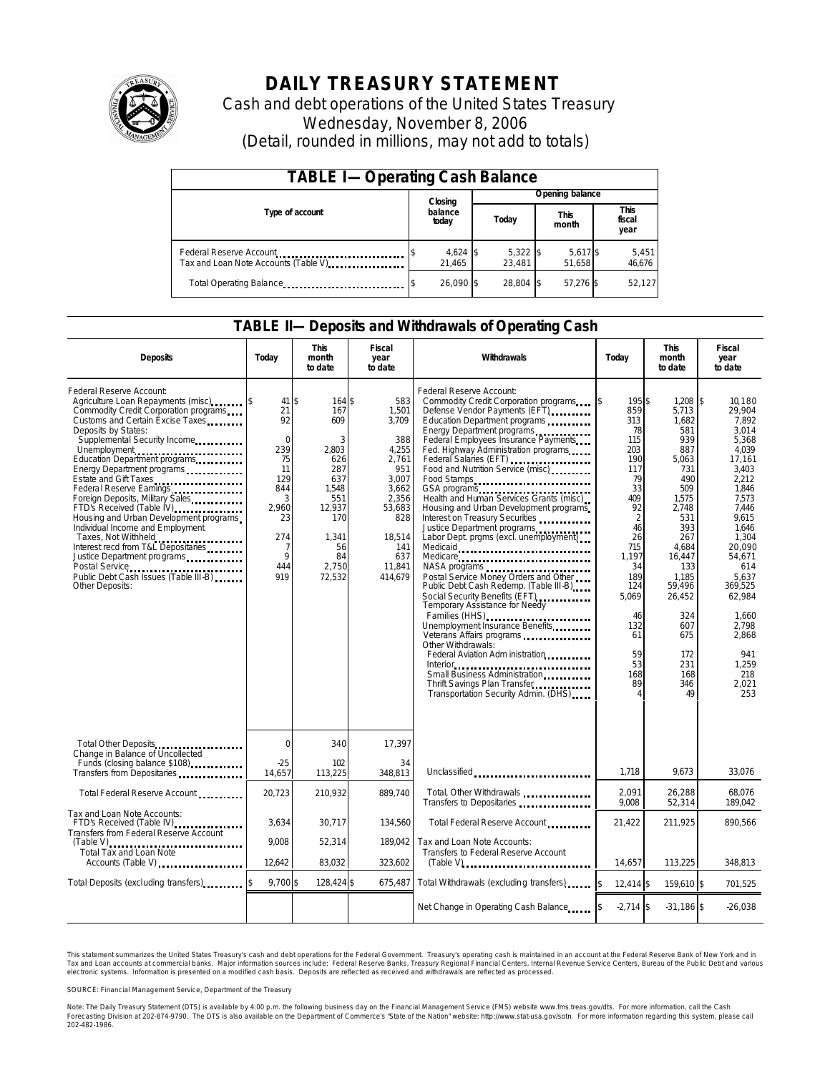

# **DAILY TREASURY STATEMENT**

Cash and debt operations of the United States Treasury Wednesday, November 8, 2006 (Detail, rounded in millions, may not add to totals)

| <b>TABLE I-Operating Cash Balance</b>                            |                  |                      |       |                      |                      |                    |  |                               |  |
|------------------------------------------------------------------|------------------|----------------------|-------|----------------------|----------------------|--------------------|--|-------------------------------|--|
|                                                                  |                  | Closing              |       | Opening balance      |                      |                    |  |                               |  |
| Type of account                                                  | balance<br>today |                      | Today |                      | <b>This</b><br>month |                    |  | <b>This</b><br>fiscal<br>year |  |
| Federal Reserve Account<br>Tax and Loan Note Accounts (Table V). |                  | $4,624$ \$<br>21.465 |       | $5,322$ \$<br>23.481 |                      | 5,617 \$<br>51.658 |  | 5,451<br>46,676               |  |
| Total Operating Balance                                          |                  | 26.090 \$            |       | 28.804 \$            |                      | 57.276 \$          |  | 52,127                        |  |

### **TABLE II—Deposits and Withdrawals of Operating Cash**

| <b>Deposits</b>                                                                                                                                                                                                                                                                                                                                                                                                                                                                                                                                                                                                                       | Today                                                                                                                                  | <b>This</b><br>month<br>to date                                                                                                 | <b>Fiscal</b><br>year<br>to date                                                                                                               | Withdrawals                                                                                                                                                                                                                                                                                                                                                                                                                                                                                                                                                                                                                                                                                                                                                                                                                                                                                                                            | <b>This</b><br>Today<br>month<br>to date                                                                                                                                                            |                                                                                                                                                                                                                                 | <b>Fiscal</b><br>year<br>to date                                                                                                                                                                                                                                                             |
|---------------------------------------------------------------------------------------------------------------------------------------------------------------------------------------------------------------------------------------------------------------------------------------------------------------------------------------------------------------------------------------------------------------------------------------------------------------------------------------------------------------------------------------------------------------------------------------------------------------------------------------|----------------------------------------------------------------------------------------------------------------------------------------|---------------------------------------------------------------------------------------------------------------------------------|------------------------------------------------------------------------------------------------------------------------------------------------|----------------------------------------------------------------------------------------------------------------------------------------------------------------------------------------------------------------------------------------------------------------------------------------------------------------------------------------------------------------------------------------------------------------------------------------------------------------------------------------------------------------------------------------------------------------------------------------------------------------------------------------------------------------------------------------------------------------------------------------------------------------------------------------------------------------------------------------------------------------------------------------------------------------------------------------|-----------------------------------------------------------------------------------------------------------------------------------------------------------------------------------------------------|---------------------------------------------------------------------------------------------------------------------------------------------------------------------------------------------------------------------------------|----------------------------------------------------------------------------------------------------------------------------------------------------------------------------------------------------------------------------------------------------------------------------------------------|
| Federal Reserve Account:<br>Agriculture Loan Repayments (misc)<br>Commodity Credit Corporation programs<br>Customs and Certain Excise Taxes<br>Deposits by States:<br>Supplemental Security Income<br>Education Department programs<br>Energy Department programs<br>Estate and Gift Taxes<br>Federal Reserve Earnings<br>Foreign Deposits, Military Sales<br>FTD's Received (Table IV)<br>Housing and Urban Development programs<br>Individual Income and Employment<br>Taxes, Not Withheld<br>Interest recd from T&L Depositaries<br>Justice Department programs<br>Public Debt Cash Issues (Table III-B)<br><b>Other Deposits:</b> | $41\overline{\text{S}}$<br>21<br>92<br>$\mathbf 0$<br>239<br>75<br>11<br>129<br>844<br>3<br>2.960<br>23<br>274<br>7<br>9<br>444<br>919 | 164\$<br>167<br>609<br>3<br>2.803<br>626<br>287<br>637<br>1.548<br>551<br>12,937<br>170<br>1,341<br>56<br>84<br>2.750<br>72,532 | 583<br>1,501<br>3,709<br>388<br>4,255<br>2,761<br>951<br>3,007<br>3.662<br>2.356<br>53,683<br>828<br>18,514<br>141<br>637<br>11.841<br>414,679 | Federal Reserve Account:<br>Commodity Credit Corporation programs<br>Defense Vendor Payments (EFT)<br>Education Department programs<br>Energy Department programs<br>Federal Employees Insurance Payments<br>Fed. Highway Administration programs<br>Federal Salaries (EFT)<br>Food and Nutrition Service (misc)<br>Food Stamps<br>GSA programs<br>Health and Human Services Grants (misc)<br>Housing and Urban Development programs<br>Interest on Treasury Securities<br>Justice Department programs<br>Labor Dept. prgms (excl. unemployment)<br>Medicaid<br>Medicare<br>Postal Service Money Orders and Other<br>Public Debt Cash Redemp. (Table III-B)<br>Social Security Benefits (EFT)<br><br>Temporary Assistance for Needy<br>Families (HHS)<br>Unemployment Insurance Benefits<br>Other Withdrawals:<br>Federal Aviation Adm inistration<br>Interior<br>Thrift Savings Plan Transfer<br>Transportation Security Admin. (DHS) | \$<br>195\$<br>859<br>313<br>78<br>115<br>203<br>190<br>117<br>79<br>33<br>409<br>92<br>2<br>46<br>26<br>715<br>1.197<br>34<br>189<br>124<br>5,069<br>46<br>132<br>61<br>59<br>53<br>168<br>89<br>4 | 1,208<br>5,713<br>1.682<br>581<br>939<br>887<br>5,063<br>731<br>490<br>509<br>1,575<br>2.748<br>531<br>393<br>267<br>4.684<br>16.447<br>133<br>1,185<br>59.496<br>26,452<br>324<br>607<br>675<br>172<br>231<br>168<br>346<br>49 | $\overline{\mathbf{3}}$<br>10.180<br>29,904<br>7.892<br>3,014<br>5.368<br>4.039<br>17,161<br>3,403<br>2.212<br>1.846<br>7.573<br>7.446<br>9.615<br>1,646<br>1,304<br>20.090<br>54.671<br>614<br>5.637<br>369.525<br>62,984<br>1,660<br>2,798<br>2.868<br>941<br>1,259<br>218<br>2,021<br>253 |
| Total Other Deposits<br>Change in Balance of Uncollected                                                                                                                                                                                                                                                                                                                                                                                                                                                                                                                                                                              | 0                                                                                                                                      | 340                                                                                                                             | 17,397                                                                                                                                         |                                                                                                                                                                                                                                                                                                                                                                                                                                                                                                                                                                                                                                                                                                                                                                                                                                                                                                                                        |                                                                                                                                                                                                     |                                                                                                                                                                                                                                 |                                                                                                                                                                                                                                                                                              |
| Funds (closing balance \$108)<br>Funds (closing balance \$108)<br>Transfers from Depositaries                                                                                                                                                                                                                                                                                                                                                                                                                                                                                                                                         | $-25$<br>14,657                                                                                                                        | 102<br>113,225                                                                                                                  | 34<br>348.813                                                                                                                                  | Unclassified                                                                                                                                                                                                                                                                                                                                                                                                                                                                                                                                                                                                                                                                                                                                                                                                                                                                                                                           | 1,718                                                                                                                                                                                               | 9.673                                                                                                                                                                                                                           | 33,076                                                                                                                                                                                                                                                                                       |
| Total Federal Reserve Account                                                                                                                                                                                                                                                                                                                                                                                                                                                                                                                                                                                                         | 20,723                                                                                                                                 | 210,932                                                                                                                         | 889.740                                                                                                                                        | Total, Other Withdrawals<br>Transfers to Depositaries                                                                                                                                                                                                                                                                                                                                                                                                                                                                                                                                                                                                                                                                                                                                                                                                                                                                                  | 2,091<br>9,008                                                                                                                                                                                      | 26,288<br>52,314                                                                                                                                                                                                                | 68.076<br>189,042                                                                                                                                                                                                                                                                            |
| Tax and Loan Note Accounts:<br>FTD's Received (Table IV)<br>Transfers from Federal Reserve Account                                                                                                                                                                                                                                                                                                                                                                                                                                                                                                                                    | 3,634                                                                                                                                  | 30,717                                                                                                                          | 134,560                                                                                                                                        | Total Federal Reserve Account                                                                                                                                                                                                                                                                                                                                                                                                                                                                                                                                                                                                                                                                                                                                                                                                                                                                                                          | 21,422                                                                                                                                                                                              | 211,925                                                                                                                                                                                                                         | 890,566                                                                                                                                                                                                                                                                                      |
| <b>Total Tax and Loan Note</b><br>Accounts (Table V)                                                                                                                                                                                                                                                                                                                                                                                                                                                                                                                                                                                  | 9.008<br>12,642                                                                                                                        | 52,314<br>83.032                                                                                                                | 189.042<br>323,602                                                                                                                             | Tax and Loan Note Accounts:<br>Transfers to Federal Reserve Account                                                                                                                                                                                                                                                                                                                                                                                                                                                                                                                                                                                                                                                                                                                                                                                                                                                                    | 14.657                                                                                                                                                                                              | 113,225                                                                                                                                                                                                                         | 348.813                                                                                                                                                                                                                                                                                      |
| Total Deposits (excluding transfers)                                                                                                                                                                                                                                                                                                                                                                                                                                                                                                                                                                                                  | 9,700 \$                                                                                                                               | 128,424 \$                                                                                                                      | 675,487                                                                                                                                        | Total Withdrawals (excluding transfers)                                                                                                                                                                                                                                                                                                                                                                                                                                                                                                                                                                                                                                                                                                                                                                                                                                                                                                | $\mathbf{s}$<br>12.414 \$                                                                                                                                                                           | 159.610 \$                                                                                                                                                                                                                      | 701,525                                                                                                                                                                                                                                                                                      |
|                                                                                                                                                                                                                                                                                                                                                                                                                                                                                                                                                                                                                                       |                                                                                                                                        |                                                                                                                                 |                                                                                                                                                | Net Change in Operating Cash Balance                                                                                                                                                                                                                                                                                                                                                                                                                                                                                                                                                                                                                                                                                                                                                                                                                                                                                                   | $-2,714$ \$                                                                                                                                                                                         | $-31.186$ \$                                                                                                                                                                                                                    | $-26.038$                                                                                                                                                                                                                                                                                    |

This statement summarizes the United States Treasury's cash and debt operations for the Federal Government. Treasury's operating cash is maintained in an account at the Federal Reserve Bank of New York and in Tax and Loan accounts at commercial banks. Major information sources include: Federal Reserve Banks, Treasury Regional Financial Centers, Internal Revenue Service Centers, Bureau of the Public Debt and various<br>electronic s

SOURCE: Financial Management Service, Department of the Treasury

Note: The Daily Treasury Statement (DTS) is available by 4:00 p.m. the following business day on the Financial Management Service (FMS) website www.fms.treas.gov/dts.<br>Forecasting Division at 202-874-9790. The DTS is also a 'S) is available by 4:00 p.m. the following business day on the Financial Management Service (FMS) website www.fms.treas.gov/dts. For more information, call the Cash<br>The DTS is also available on the Department of Commerce'